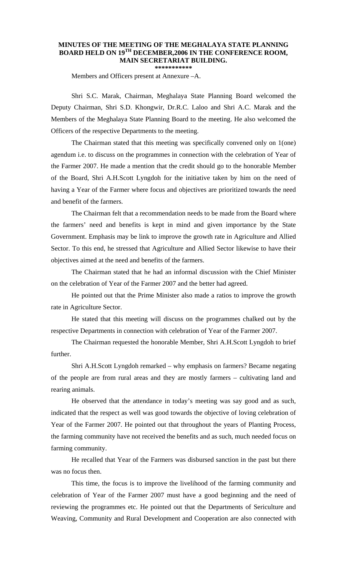## **MINUTES OF THE MEETING OF THE MEGHALAYA STATE PLANNING BOARD HELD ON 19TH DECEMBER,2006 IN THE CONFERENCE ROOM, MAIN SECRETARIAT BUILDING. \*\*\*\*\*\*\*\*\*\*\***

Members and Officers present at Annexure –A.

 Shri S.C. Marak, Chairman, Meghalaya State Planning Board welcomed the Deputy Chairman, Shri S.D. Khongwir, Dr.R.C. Laloo and Shri A.C. Marak and the Members of the Meghalaya State Planning Board to the meeting. He also welcomed the Officers of the respective Departments to the meeting.

 The Chairman stated that this meeting was specifically convened only on 1(one) agendum i.e. to discuss on the programmes in connection with the celebration of Year of the Farmer 2007. He made a mention that the credit should go to the honorable Member of the Board, Shri A.H.Scott Lyngdoh for the initiative taken by him on the need of having a Year of the Farmer where focus and objectives are prioritized towards the need and benefit of the farmers.

 The Chairman felt that a recommendation needs to be made from the Board where the farmers' need and benefits is kept in mind and given importance by the State Government. Emphasis may be link to improve the growth rate in Agriculture and Allied Sector. To this end, he stressed that Agriculture and Allied Sector likewise to have their objectives aimed at the need and benefits of the farmers.

 The Chairman stated that he had an informal discussion with the Chief Minister on the celebration of Year of the Farmer 2007 and the better had agreed.

 He pointed out that the Prime Minister also made a ratios to improve the growth rate in Agriculture Sector.

 He stated that this meeting will discuss on the programmes chalked out by the respective Departments in connection with celebration of Year of the Farmer 2007.

 The Chairman requested the honorable Member, Shri A.H.Scott Lyngdoh to brief further.

 Shri A.H.Scott Lyngdoh remarked – why emphasis on farmers? Became negating of the people are from rural areas and they are mostly farmers – cultivating land and rearing animals.

 He observed that the attendance in today's meeting was say good and as such, indicated that the respect as well was good towards the objective of loving celebration of Year of the Farmer 2007. He pointed out that throughout the years of Planting Process, the farming community have not received the benefits and as such, much needed focus on farming community.

 He recalled that Year of the Farmers was disbursed sanction in the past but there was no focus then.

 This time, the focus is to improve the livelihood of the farming community and celebration of Year of the Farmer 2007 must have a good beginning and the need of reviewing the programmes etc. He pointed out that the Departments of Sericulture and Weaving, Community and Rural Development and Cooperation are also connected with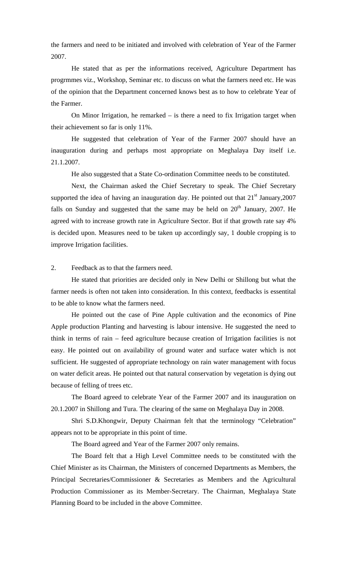the farmers and need to be initiated and involved with celebration of Year of the Farmer 2007.

 He stated that as per the informations received, Agriculture Department has progrmmes viz., Workshop, Seminar etc. to discuss on what the farmers need etc. He was of the opinion that the Department concerned knows best as to how to celebrate Year of the Farmer.

On Minor Irrigation, he remarked  $-$  is there a need to fix Irrigation target when their achievement so far is only 11%.

 He suggested that celebration of Year of the Farmer 2007 should have an inauguration during and perhaps most appropriate on Meghalaya Day itself i.e. 21.1.2007.

He also suggested that a State Co-ordination Committee needs to be constituted.

 Next, the Chairman asked the Chief Secretary to speak. The Chief Secretary supported the idea of having an inauguration day. He pointed out that  $21<sup>st</sup>$  January, 2007 falls on Sunday and suggested that the same may be held on  $20<sup>th</sup>$  January, 2007. He agreed with to increase growth rate in Agriculture Sector. But if that growth rate say 4% is decided upon. Measures need to be taken up accordingly say, 1 double cropping is to improve Irrigation facilities.

2. Feedback as to that the farmers need.

 He stated that priorities are decided only in New Delhi or Shillong but what the farmer needs is often not taken into consideration. In this context, feedbacks is essentital to be able to know what the farmers need.

 He pointed out the case of Pine Apple cultivation and the economics of Pine Apple production Planting and harvesting is labour intensive. He suggested the need to think in terms of rain – feed agriculture because creation of Irrigation facilities is not easy. He pointed out on availability of ground water and surface water which is not sufficient. He suggested of appropriate technology on rain water management with focus on water deficit areas. He pointed out that natural conservation by vegetation is dying out because of felling of trees etc.

 The Board agreed to celebrate Year of the Farmer 2007 and its inauguration on 20.1.2007 in Shillong and Tura. The clearing of the same on Meghalaya Day in 2008.

 Shri S.D.Khongwir, Deputy Chairman felt that the terminology "Celebration" appears not to be appropriate in this point of time.

The Board agreed and Year of the Farmer 2007 only remains.

 The Board felt that a High Level Committee needs to be constituted with the Chief Minister as its Chairman, the Ministers of concerned Departments as Members, the Principal Secretaries/Commissioner & Secretaries as Members and the Agricultural Production Commissioner as its Member-Secretary. The Chairman, Meghalaya State Planning Board to be included in the above Committee.